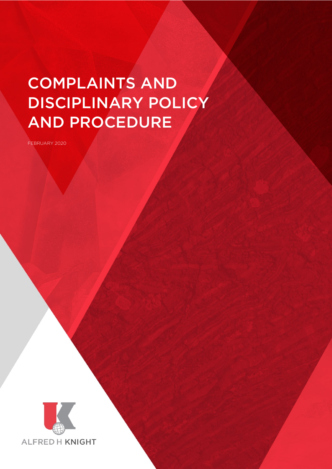# COMPLAINTS AND DISCIPLINARY POLICY AND PROCEDURE

FEBRUARY 2020



Complaints and Disciplinary Policy and Procedure Page 1 of 11 of 11 of 11 of 11 of 11 of 11 of 11 of 11 of 11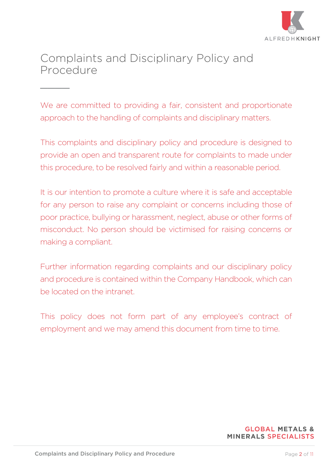

# Complaints and Disciplinary Policy and Procedure

 $\overline{\phantom{a}}$ 

We are committed to providing a fair, consistent and proportionate approach to the handling of complaints and disciplinary matters.

This complaints and disciplinary policy and procedure is designed to provide an open and transparent route for complaints to made under this procedure, to be resolved fairly and within a reasonable period.

It is our intention to promote a culture where it is safe and acceptable for any person to raise any complaint or concerns including those of poor practice, bullying or harassment, neglect, abuse or other forms of misconduct. No person should be victimised for raising concerns or making a compliant.

Further information regarding complaints and our disciplinary policy and procedure is contained within the Company Handbook, which can be located on the intranet.

This policy does not form part of any employee's contract of employment and we may amend this document from time to time.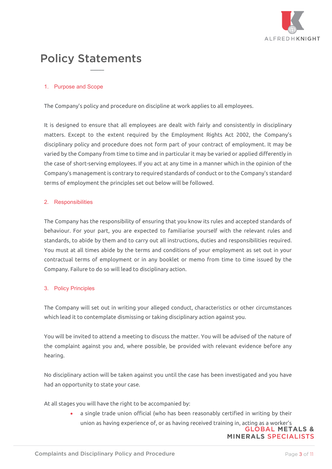

# Policy Statements

 $\overline{\phantom{a}}$ 

# 1. Purpose and Scope

The Company's policy and procedure on discipline at work applies to all employees.

It is designed to ensure that all employees are dealt with fairly and consistently in disciplinary matters. Except to the extent required by the Employment Rights Act 2002, the Company's disciplinary policy and procedure does not form part of your contract of employment. It may be varied by the Company from time to time and in particular it may be varied or applied differently in the case of short-serving employees. If you act at any time in a manner which in the opinion of the Company's management is contrary to required standards of conduct or to the Company's standard terms of employment the principles set out below will be followed.

#### 2. Responsibilities

The Company has the responsibility of ensuring that you know its rules and accepted standards of behaviour. For your part, you are expected to familiarise yourself with the relevant rules and standards, to abide by them and to carry out all instructions, duties and responsibilities required. You must at all times abide by the terms and conditions of your employment as set out in your contractual terms of employment or in any booklet or memo from time to time issued by the Company. Failure to do so will lead to disciplinary action.

#### 3. Policy Principles

The Company will set out in writing your alleged conduct, characteristics or other circumstances which lead it to contemplate dismissing or taking disciplinary action against you.

You will be invited to attend a meeting to discuss the matter. You will be advised of the nature of the complaint against you and, where possible, be provided with relevant evidence before any hearing.

No disciplinary action will be taken against you until the case has been investigated and you have had an opportunity to state your case.

At all stages you will have the right to be accompanied by:

• a single trade union official (who has been reasonably certified in writing by their union as having experience of, or as having received training in, acting as a worker's<br>GLOBAL METALS &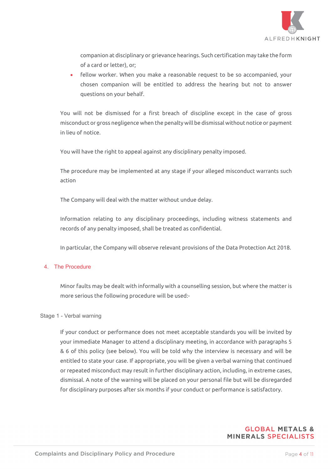

companion at disciplinary or grievance hearings. Such certification may take the form of a card or letter), or;

• fellow worker. When you make a reasonable request to be so accompanied, your chosen companion will be entitled to address the hearing but not to answer questions on your behalf.

You will not be dismissed for a first breach of discipline except in the case of gross misconduct or gross negligence when the penalty will be dismissal without notice or payment in lieu of notice.

You will have the right to appeal against any disciplinary penalty imposed.

The procedure may be implemented at any stage if your alleged misconduct warrants such action

The Company will deal with the matter without undue delay.

Information relating to any disciplinary proceedings, including witness statements and records of any penalty imposed, shall be treated as confidential.

In particular, the Company will observe relevant provisions of the Data Protection Act 2018.

#### 4. The Procedure

Minor faults may be dealt with informally with a counselling session, but where the matter is more serious the following procedure will be used:-

#### Stage 1 - Verbal warning

If your conduct or performance does not meet acceptable standards you will be invited by your immediate Manager to attend a disciplinary meeting, in accordance with paragraphs 5 & 6 of this policy (see below). You will be told why the interview is necessary and will be entitled to state your case. If appropriate, you will be given a verbal warning that continued or repeated misconduct may result in further disciplinary action, including, in extreme cases, dismissal. A note of the warning will be placed on your personal file but will be disregarded for disciplinary purposes after six months if your conduct or performance is satisfactory.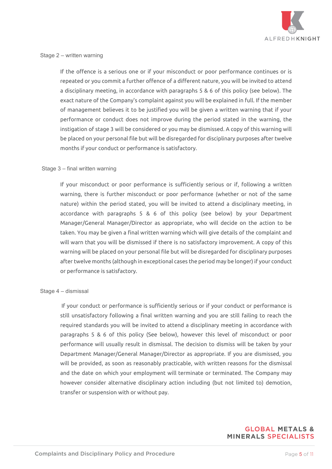

#### Stage 2 – written warning

If the offence is a serious one or if your misconduct or poor performance continues or is repeated or you commit a further offence of a different nature, you will be invited to attend a disciplinary meeting, in accordance with paragraphs 5 & 6 of this policy (see below). The exact nature of the Company's complaint against you will be explained in full. If the member of management believes it to be justified you will be given a written warning that if your performance or conduct does not improve during the period stated in the warning, the instigation of stage 3 will be considered or you may be dismissed. A copy of this warning will be placed on your personal file but will be disregarded for disciplinary purposes after twelve months if your conduct or performance is satisfactory.

#### Stage 3 – final written warning

If your misconduct or poor performance is sufficiently serious or if, following a written warning, there is further misconduct or poor performance (whether or not of the same nature) within the period stated, you will be invited to attend a disciplinary meeting, in accordance with paragraphs 5 & 6 of this policy (see below) by your Department Manager/General Manager/Director as appropriate, who will decide on the action to be taken. You may be given a final written warning which will give details of the complaint and will warn that you will be dismissed if there is no satisfactory improvement. A copy of this warning will be placed on your personal file but will be disregarded for disciplinary purposes after twelve months (although in exceptional cases the period may be longer) if your conduct or performance is satisfactory.

#### Stage 4 – dismissal

If your conduct or performance is sufficiently serious or if your conduct or performance is still unsatisfactory following a final written warning and you are still failing to reach the required standards you will be invited to attend a disciplinary meeting in accordance with paragraphs 5 & 6 of this policy (See below), however this level of misconduct or poor performance will usually result in dismissal. The decision to dismiss will be taken by your Department Manager/General Manager/Director as appropriate. If you are dismissed, you will be provided, as soon as reasonably practicable, with written reasons for the dismissal and the date on which your employment will terminate or terminated. The Company may however consider alternative disciplinary action including (but not limited to) demotion, transfer or suspension with or without pay.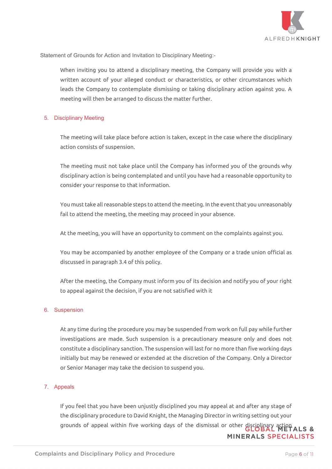

Statement of Grounds for Action and Invitation to Disciplinary Meeting:-

When inviting you to attend a disciplinary meeting, the Company will provide you with a written account of your alleged conduct or characteristics, or other circumstances which leads the Company to contemplate dismissing or taking disciplinary action against you. A meeting will then be arranged to discuss the matter further.

#### 5. Disciplinary Meeting

The meeting will take place before action is taken, except in the case where the disciplinary action consists of suspension.

The meeting must not take place until the Company has informed you of the grounds why disciplinary action is being contemplated and until you have had a reasonable opportunity to consider your response to that information.

You must take all reasonable steps to attend the meeting. In the event that you unreasonably fail to attend the meeting, the meeting may proceed in your absence.

At the meeting, you will have an opportunity to comment on the complaints against you.

You may be accompanied by another employee of the Company or a trade union official as discussed in paragraph 3.4 of this policy.

After the meeting, the Company must inform you of its decision and notify you of your right to appeal against the decision, if you are not satisfied with it

#### 6. Suspension

At any time during the procedure you may be suspended from work on full pay while further investigations are made. Such suspension is a precautionary measure only and does not constitute a disciplinary sanction. The suspension will last for no more than five working days initially but may be renewed or extended at the discretion of the Company. Only a Director or Senior Manager may take the decision to suspend you.

# 7. Appeals

If you feel that you have been unjustly disciplined you may appeal at and after any stage of the disciplinary procedure to David Knight, the Managing Director in writing setting out your grounds of appeal within five working days of the dismissal or other disciplinary action ALS & **MINERALS SPECIALISTS**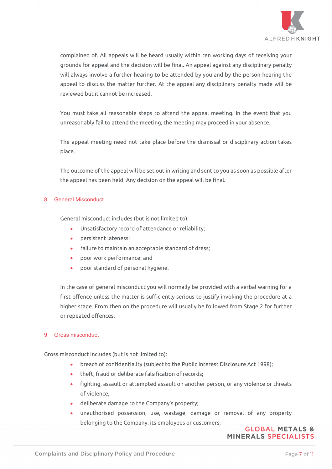

complained of. All appeals will be heard usually within ten working days of receiving your grounds for appeal and the decision will be final. An appeal against any disciplinary penalty will always involve a further hearing to be attended by you and by the person hearing the appeal to discuss the matter further. At the appeal any disciplinary penalty made will be reviewed but it cannot be increased.

You must take all reasonable steps to attend the appeal meeting. In the event that you unreasonably fail to attend the meeting, the meeting may proceed in your absence.

The appeal meeting need not take place before the dismissal or disciplinary action takes place.

The outcome of the appeal will be set out in writing and sent to you as soon as possible after the appeal has been held. Any decision on the appeal will be final.

# 8. General Misconduct

General misconduct includes (but is not limited to):

- Unsatisfactory record of attendance or reliability;
- persistent lateness;
- failure to maintain an acceptable standard of dress;
- poor work performance; and
- poor standard of personal hygiene.

In the case of general misconduct you will normally be provided with a verbal warning for a first offence unless the matter is sufficiently serious to justify invoking the procedure at a higher stage. From then on the procedure will usually be followed from Stage 2 for further or repeated offences.

#### 9. Gross misconduct

Gross misconduct includes (but is not limited to):

- breach of confidentiality (subject to the Public Interest Disclosure Act 1998);
- theft, fraud or deliberate falsification of records;
- fighting, assault or attempted assault on another person, or any violence or threats of violence;
- deliberate damage to the Company's property;
- unauthorised possession, use, wastage, damage or removal of any property belonging to the Company, its employees or customers;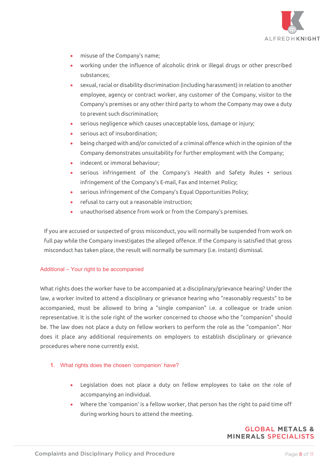

- misuse of the Company's name;
- working under the influence of alcoholic drink or illegal drugs or other prescribed substances;
- sexual, racial or disability discrimination (including harassment) in relation to another employee, agency or contract worker, any customer of the Company, visitor to the Company's premises or any other third party to whom the Company may owe a duty to prevent such discrimination;
- serious negligence which causes unacceptable loss, damage or injury;
- serious act of insubordination:
- being charged with and/or convicted of a criminal offence which in the opinion of the Company demonstrates unsuitability for further employment with the Company;
- indecent or immoral behaviour;
- serious infringement of the Company's Health and Safety Rules serious infringement of the Company's E-mail, Fax and Internet Policy;
- serious infringement of the Company's Equal Opportunities Policy;
- refusal to carry out a reasonable instruction;
- unauthorised absence from work or from the Company's premises.

If you are accused or suspected of gross misconduct, you will normally be suspended from work on full pay while the Company investigates the alleged offence. If the Company is satisfied that gross misconduct has taken place, the result will normally be summary (i.e. instant) dismissal.

#### Additional – Your right to be accompanied

What rights does the worker have to be accompanied at a disciplinary/grievance hearing? Under the law, a worker invited to attend a disciplinary or grievance hearing who "reasonably requests" to be accompanied, must be allowed to bring a "single companion" i.e. a colleague or trade union representative. It is the sole right of the worker concerned to choose who the "companion" should be. The law does not place a duty on fellow workers to perform the role as the "companion". Nor does it place any additional requirements on employers to establish disciplinary or grievance procedures where none currently exist.

- 1. What rights does the chosen 'companion' have?
	- Legislation does not place a duty on fellow employees to take on the role of accompanying an individual.
	- Where the 'companion' is a fellow worker, that person has the right to paid time off during working hours to attend the meeting.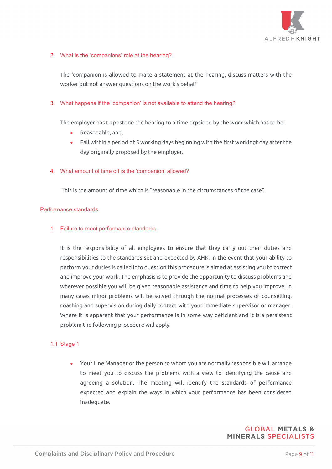

### 2. What is the 'companions' role at the hearing?

The 'companion is allowed to make a statement at the hearing, discuss matters with the worker but not answer questions on the work's behalf

### 3. What happens if the 'companion' is not available to attend the hearing?

The employer has to postone the hearing to a time prpsioed by the work which has to be:

- Reasonable, and;
- Fall within a period of 5 working days beginning with the first workingt day after the day originally proposed by the employer.

#### 4. What amount of time off is the 'companion' allowed?

This is the amount of time which is "reasonable in the circumstances of the case".

#### Performance standards

#### 1. Failure to meet performance standards

It is the responsibility of all employees to ensure that they carry out their duties and responsibilities to the standards set and expected by AHK. In the event that your ability to perform your duties is called into question this procedure is aimed at assisting you to correct and improve your work. The emphasis is to provide the opportunity to discuss problems and wherever possible you will be given reasonable assistance and time to help you improve. In many cases minor problems will be solved through the normal processes of counselling, coaching and supervision during daily contact with your immediate supervisor or manager. Where it is apparent that your performance is in some way deficient and it is a persistent problem the following procedure will apply.

#### 1.1 Stage 1

• Your Line Manager or the person to whom you are normally responsible will arrange to meet you to discuss the problems with a view to identifying the cause and agreeing a solution. The meeting will identify the standards of performance expected and explain the ways in which your performance has been considered inadequate.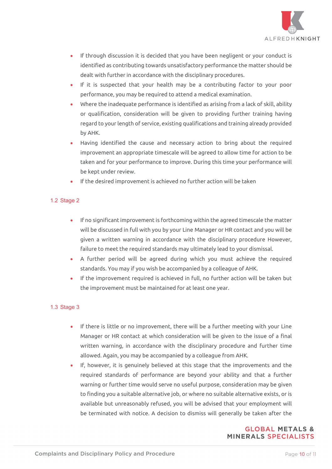

- If through discussion it is decided that you have been negligent or your conduct is identified as contributing towards unsatisfactory performance the matter should be dealt with further in accordance with the disciplinary procedures.
- If it is suspected that your health may be a contributing factor to your poor performance, you may be required to attend a medical examination.
- Where the inadequate performance is identified as arising from a lack of skill, ability or qualification, consideration will be given to providing further training having regard to your length of service, existing qualifications and training already provided by AHK.
- Having identified the cause and necessary action to bring about the required improvement an appropriate timescale will be agreed to allow time for action to be taken and for your performance to improve. During this time your performance will be kept under review.
- If the desired improvement is achieved no further action will be taken

# 1.2 Stage 2

- If no significant improvement is forthcoming within the agreed timescale the matter will be discussed in full with you by your Line Manager or HR contact and you will be given a written warning in accordance with the disciplinary procedure However, failure to meet the required standards may ultimately lead to your dismissal.
- A further period will be agreed during which you must achieve the required standards. You may if you wish be accompanied by a colleague of AHK.
- If the improvement required is achieved in full, no further action will be taken but the improvement must be maintained for at least one year.

#### 1.3 Stage 3

- If there is little or no improvement, there will be a further meeting with your Line Manager or HR contact at which consideration will be given to the issue of a final written warning, in accordance with the disciplinary procedure and further time allowed. Again, you may be accompanied by a colleague from AHK.
- If, however, it is genuinely believed at this stage that the improvements and the required standards of performance are beyond your ability and that a further warning or further time would serve no useful purpose, consideration may be given to finding you a suitable alternative job, or where no suitable alternative exists, or is available but unreasonably refused, you will be advised that your employment will be terminated with notice. A decision to dismiss will generally be taken after the